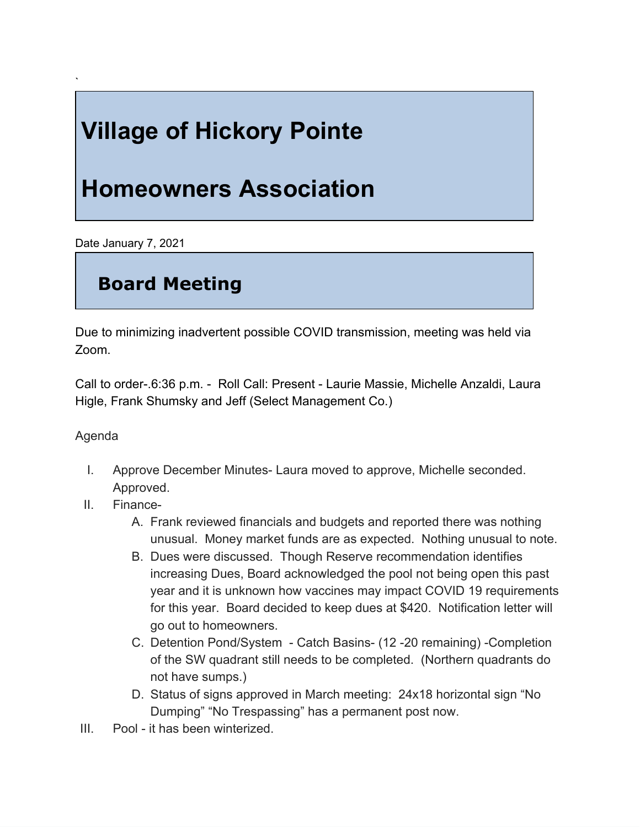# **Village of Hickory Pointe**

## **Homeowners Association**

Date January 7, 2021

`

### **Board Meeting**

Due to minimizing inadvertent possible COVID transmission, meeting was held via Zoom.

Call to order-.6:36 p.m. - Roll Call: Present - Laurie Massie, Michelle Anzaldi, Laura Higle, Frank Shumsky and Jeff (Select Management Co.)

#### Agenda

- I. Approve December Minutes- Laura moved to approve, Michelle seconded. Approved.
- II. Finance-
	- A. Frank reviewed financials and budgets and reported there was nothing unusual. Money market funds are as expected. Nothing unusual to note.
	- B. Dues were discussed. Though Reserve recommendation identifies increasing Dues, Board acknowledged the pool not being open this past year and it is unknown how vaccines may impact COVID 19 requirements for this year. Board decided to keep dues at \$420. Notification letter will go out to homeowners.
	- C. Detention Pond/System Catch Basins- (12 -20 remaining) -Completion of the SW quadrant still needs to be completed. (Northern quadrants do not have sumps.)
	- D. Status of signs approved in March meeting: 24x18 horizontal sign "No Dumping" "No Trespassing" has a permanent post now.
- III. Pool it has been winterized.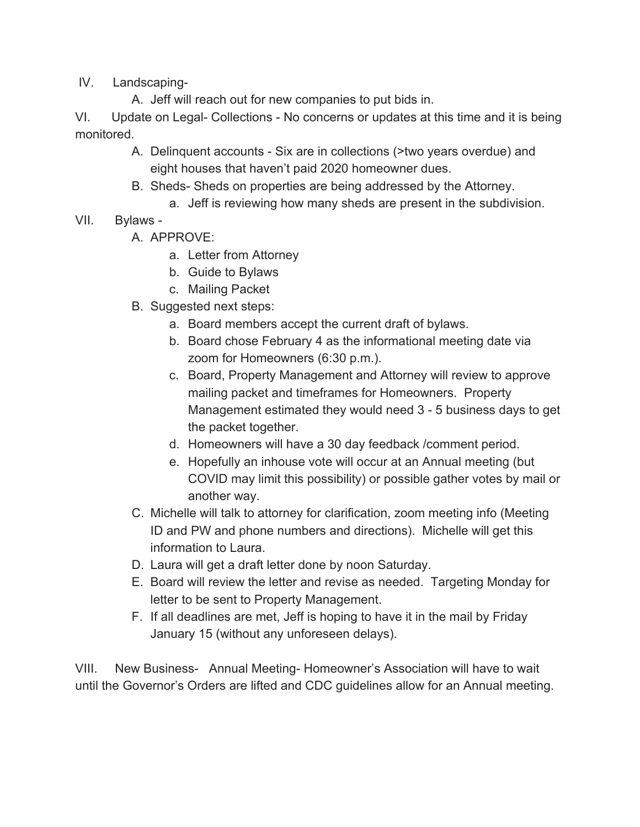IV. Landscaping-

A. Jeff will reach out for new companies to put bids in.

VI. Update on Legal- Collections - No concerns or updates at this time and it is being monitored.

- A. Delinquent accounts Six are in collections (>two years overdue) and eight houses that haven't paid 2020 homeowner dues.
- B. Sheds- Sheds on properties are being addressed by the Attorney.
	- a. Jeff is reviewing how many sheds are present in the subdivision.
- VII. Bylaws
	- A. APPROVE:
		- a. Letter from Attorney
		- b. Guide to Bylaws
		- c. Mailing Packet
	- B. Suggested next steps:
		- a. Board members accept the current draft of bylaws.
		- b. Board chose February 4 as the informational meeting date via zoom for Homeowners (6:30 p.m.).
		- c. Board, Property Management and Attorney will review to approve mailing packet and timeframes for Homeowners. Property Management estimated they would need 3 - 5 business days to get the packet together.
		- d. Homeowners will have a 30 day feedback /comment period.
		- e. Hopefully an inhouse vote will occur at an Annual meeting (but COVID may limit this possibility) or possible gather votes by mail or another way.
	- C. Michelle will talk to attorney for clarification, zoom meeting info (Meeting ID and PW and phone numbers and directions). Michelle will get this information to Laura.
	- D. Laura will get a draft letter done by noon Saturday.
	- E. Board will review the letter and revise as needed. Targeting Monday for letter to be sent to Property Management.
	- F. If all deadlines are met, Jeff is hoping to have it in the mail by Friday January 15 (without any unforeseen delays).

VIII. New Business- Annual Meeting- Homeowner's Association will have to wait until the Governor's Orders are lifted and CDC guidelines allow for an Annual meeting.